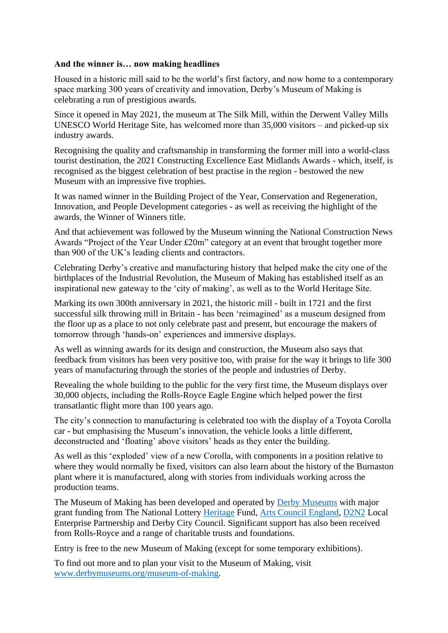## **And the winner is… now making headlines**

Housed in a historic mill said to be the world's first factory, and now home to a contemporary space marking 300 years of creativity and innovation, Derby's Museum of Making is celebrating a run of prestigious awards.

Since it opened in May 2021, the museum at The Silk Mill, within the Derwent Valley Mills UNESCO World Heritage Site, has welcomed more than 35,000 visitors – and picked-up six industry awards.

Recognising the quality and craftsmanship in transforming the former mill into a world-class tourist destination, the 2021 Constructing Excellence East Midlands Awards - which, itself, is recognised as the biggest celebration of best practise in the region - bestowed the new Museum with an impressive five trophies.

It was named winner in the Building Project of the Year, Conservation and Regeneration, Innovation, and People Development categories - as well as receiving the highlight of the awards, the Winner of Winners title.

And that achievement was followed by the Museum winning the National Construction News Awards "Project of the Year Under £20m" category at an event that brought together more than 900 of the UK's leading clients and contractors.

Celebrating Derby's creative and manufacturing history that helped make the city one of the birthplaces of the Industrial Revolution, the Museum of Making has established itself as an inspirational new gateway to the 'city of making', as well as to the World Heritage Site.

Marking its own 300th anniversary in 2021, the historic mill - built in 1721 and the first successful silk throwing mill in Britain - has been 'reimagined' as a museum designed from the floor up as a place to not only celebrate past and present, but encourage the makers of tomorrow through 'hands-on' experiences and immersive displays.

As well as winning awards for its design and construction, the Museum also says that feedback from visitors has been very positive too, with praise for the way it brings to life 300 years of manufacturing through the stories of the people and industries of Derby.

Revealing the whole building to the public for the very first time, the Museum displays over 30,000 objects, including the Rolls-Royce Eagle Engine which helped power the first transatlantic flight more than 100 years ago.

The city's connection to manufacturing is celebrated too with the display of a Toyota Corolla car - but emphasising the Museum's innovation, the vehicle looks a little different, deconstructed and 'floating' above visitors' heads as they enter the building.

As well as this 'exploded' view of a new Corolla, with components in a position relative to where they would normally be fixed, visitors can also learn about the history of the Burnaston plant where it is manufactured, along with stories from individuals working across the production teams.

The Museum of Making has been developed and operated by [Derby Museums](https://www.derbymuseums.org/) with major grant funding from The National Lottery [Heritage](https://www.heritagefund.org.uk/) Fund, [Arts Council England,](https://www.artscouncil.org.uk/) [D2N2](http://www.d2n2lep.org/) Local Enterprise Partnership and Derby City Council. Significant support has also been received from Rolls-Royce and a range of charitable trusts and foundations.

Entry is free to the new Museum of Making (except for some temporary exhibitions).

To find out more and to plan your visit to the Museum of Making, visit [www.derbymuseums.org/museum-of-making.](http://www.derbymuseums.org/museum-of-making)